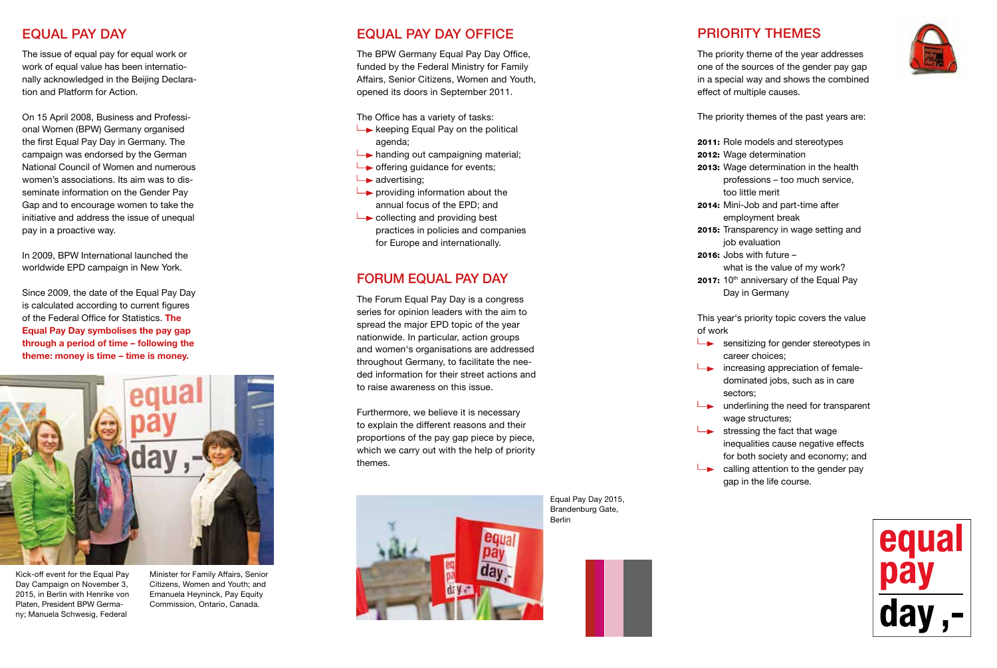### EQUAL PAY DAY

The issue of equal pay for equal work or work of equal value has been internationally acknowledged in the Beijing Declaration and Platform for Action.

On 15 April 2008, Business and Professional Women (BPW) Germany organised the first Equal Pay Day in Germany. The campaign was endorsed by the German National Council of Women and numerous women's associations. Its aim was to disseminate information on the Gender Pay Gap and to encourage women to take the initiative and address the issue of unequal pay in a proactive way.

In 2009, BPW International launched the worldwide EPD campaign in New York.

Since 2009, the date of the Equal Pay Day is calculated according to current figures of the Federal Office for Statistics. **The Equal Pay Day symbolises the pay gap through a period of time – following the theme: money is time – time is money.** 



Kick-off event for the Equal Pay Day Campaign on November 3, 2015, in Berlin with Henrike von Platen, President BPW Germany; Manuela Schwesig, Federal

Minister for Family Affairs, Senior Citizens, Women and Youth; and Emanuela Heyninck, Pay Equity Commission, Ontario, Canada.

## EQUAL PAY DAY OFFICE

The BPW Germany Equal Pay Day Office, funded by the Federal Ministry for Family Affairs, Senior Citizens, Women and Youth, opened its doors in September 2011.

The Office has a variety of tasks:

- $\rightarrow$  keeping Equal Pay on the political agenda;
- $\rightarrow$  handing out campaigning material;
- $\rightarrow$  offering quidance for events;
- $\rightarrow$  advertising;
- $\rightarrow$  providing information about the annual focus of the EPD; and
- $\rightarrow$  collecting and providing best practices in policies and companies for Europe and internationally.

## FORUM EQUAL PAY DAY

The Forum Equal Pay Day is a congress series for opinion leaders with the aim to spread the major EPD topic of the year nationwide. In particular, action groups and women's organisations are addressed throughout Germany, to facilitate the needed information for their street actions and to raise awareness on this issue.

Furthermore, we believe it is necessary to explain the different reasons and their proportions of the pay gap piece by piece, which we carry out with the help of priority themes.



### PRIORITY THEMES



The priority theme of the year addresses one of the sources of the gender pay gap in a special way and shows the combined effect of multiple causes.

The priority themes of the past years are:

- 2011: Role models and stereotypes
- 2012: Wage determination
- 2013: Wage determination in the health professions – too much service, too little merit
- 2014: Mini-Job and part-time after employment break
- 2015: Transparency in wage setting and job evaluation
- 2016: Jobs with future
	- what is the value of my work?
- 2017: 10<sup>th</sup> anniversary of the Equal Pay Day in Germany

This year's priority topic covers the value of work

- $\longrightarrow$  sensitizing for gender stereotypes in career choices;
- $\rightarrow$  increasing appreciation of femaledominated jobs, such as in care sectors;
- $\rightarrow$  underlining the need for transparent wage structures:
- $\rightarrow$  stressing the fact that wage inequalities cause negative effects for both society and economy; and
- $\Box$  calling attention to the gender pay gap in the life course.



Equal Pay Day 2015, Brandenburg Gate, Berlin